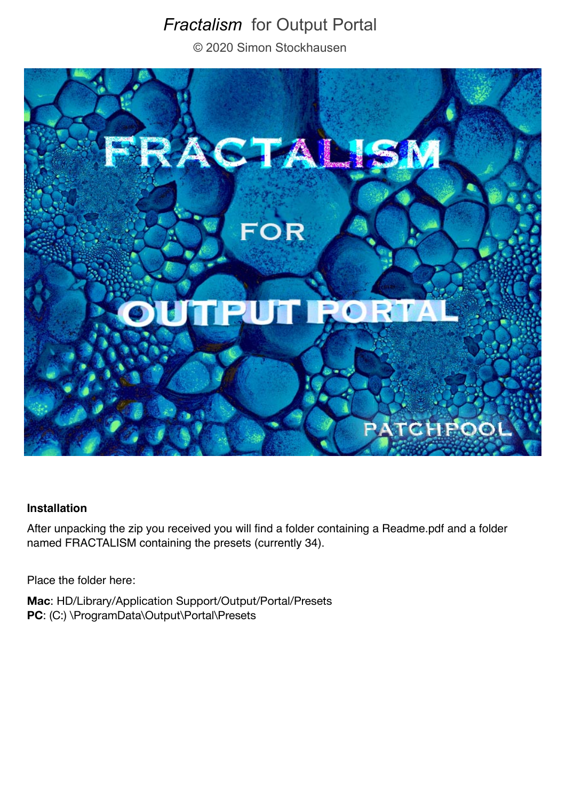# *Fractalism* for Output Portal

© 2020 Simon Stockhausen



#### **Installation**

After unpacking the zip you received you will find a folder containing a Readme.pdf and a folder named FRACTALISM containing the presets (currently 34).

Place the folder here:

**Mac**: HD/Library/Application Support/Output/Portal/Presets PC: (C:) \ProgramData\Output\Portal\Presets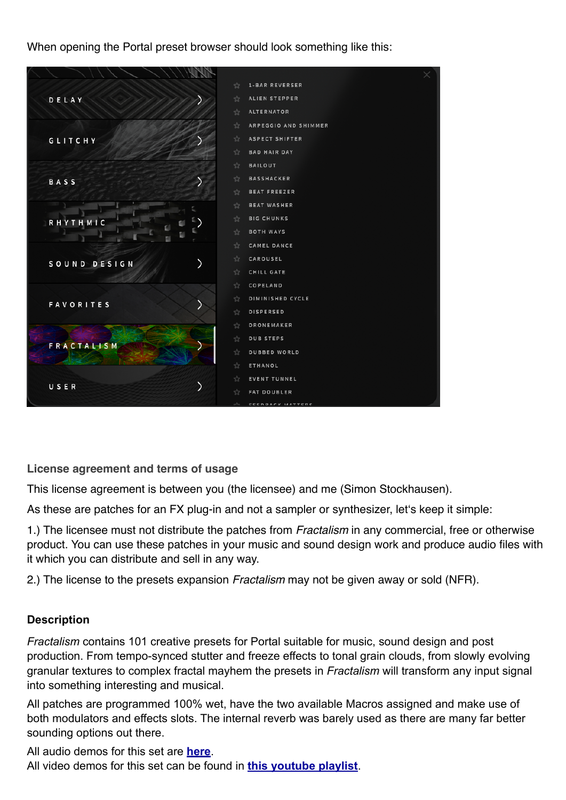When opening the Portal preset browser should look something like this:



**License agreement and terms of usage**

This license agreement is between you (the licensee) and me (Simon Stockhausen).

As these are patches for an FX plug-in and not a sampler or synthesizer, let's keep it simple:

1.) The licensee must not distribute the patches from *Fractalism* in any commercial, free or otherwise product. You can use these patches in your music and sound design work and produce audio files with it which you can distribute and sell in any way.

2.) The license to the presets expansion *Fractalism* may not be given away or sold (NFR).

### **Description**

*Fractalism* contains 101 creative presets for Portal suitable for music, sound design and post production. From tempo-synced stutter and freeze effects to tonal grain clouds, from slowly evolving granular textures to complex fractal mayhem the presets in *Fractalism* will transform any input signal into something interesting and musical.

All patches are programmed 100% wet, have the two available Macros assigned and make use of both modulators and effects slots. The internal reverb was barely used as there are many far better sounding options out there.

All audio demos for this set are **[here](https://soundcloud.com/sampleconstruct/sets/fractalism-for-portal)**.

All video demos for this set can be found in **[this youtube playlist](https://www.youtube.com/watch?v=ogxFmb0QMhU&list=PLdDy6n1e-aeOdPA5dKtFqDU2XHhNWgGqb)**.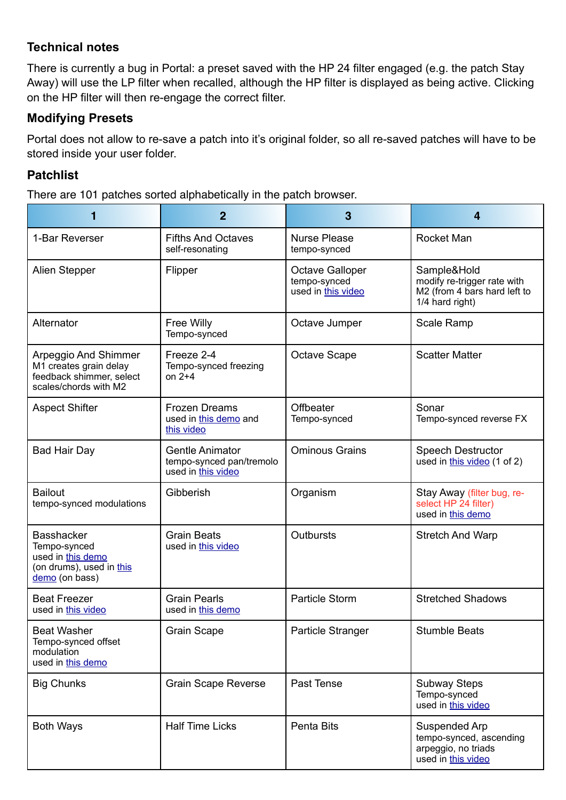# **Technical notes**

There is currently a bug in Portal: a preset saved with the HP 24 filter engaged (e.g. the patch Stay Away) will use the LP filter when recalled, although the HP filter is displayed as being active. Clicking on the HP filter will then re-engage the correct filter.

# **Modifying Presets**

Portal does not allow to re-save a patch into it's original folder, so all re-saved patches will have to be stored inside your user folder.

# **Patchlist**

There are 101 patches sorted alphabetically in the patch browser.

|                                                                                                      | $\overline{2}$                                                           | 3                                                     | 4                                                                                             |
|------------------------------------------------------------------------------------------------------|--------------------------------------------------------------------------|-------------------------------------------------------|-----------------------------------------------------------------------------------------------|
| 1-Bar Reverser                                                                                       | <b>Fifths And Octaves</b><br>self-resonating                             | <b>Nurse Please</b><br>tempo-synced                   | <b>Rocket Man</b>                                                                             |
| Alien Stepper                                                                                        | Flipper                                                                  | Octave Galloper<br>tempo-synced<br>used in this video | Sample&Hold<br>modify re-trigger rate with<br>M2 (from 4 bars hard left to<br>1/4 hard right) |
| Alternator                                                                                           | <b>Free Willy</b><br>Tempo-synced                                        | Octave Jumper                                         | Scale Ramp                                                                                    |
| Arpeggio And Shimmer<br>M1 creates grain delay<br>feedback shimmer, select<br>scales/chords with M2  | Freeze 2-4<br>Tempo-synced freezing<br>on $2+4$                          | Octave Scape                                          | <b>Scatter Matter</b>                                                                         |
| <b>Aspect Shifter</b>                                                                                | <b>Frozen Dreams</b><br>used in this demo and<br>this video              | Offbeater<br>Tempo-synced                             | Sonar<br>Tempo-synced reverse FX                                                              |
| <b>Bad Hair Day</b>                                                                                  | <b>Gentle Animator</b><br>tempo-synced pan/tremolo<br>used in this video | <b>Ominous Grains</b>                                 | <b>Speech Destructor</b><br>used in this video (1 of 2)                                       |
| <b>Bailout</b><br>tempo-synced modulations                                                           | Gibberish                                                                | Organism                                              | Stay Away (filter bug, re-<br>select HP 24 filter)<br>used in this demo                       |
| <b>Basshacker</b><br>Tempo-synced<br>used in this demo<br>(on drums), used in this<br>demo (on bass) | <b>Grain Beats</b><br>used in this video                                 | Outbursts                                             | <b>Stretch And Warp</b>                                                                       |
| <b>Beat Freezer</b><br>used in this video                                                            | <b>Grain Pearls</b><br>used in this demo                                 | <b>Particle Storm</b>                                 | <b>Stretched Shadows</b>                                                                      |
| <b>Beat Washer</b><br>Tempo-synced offset<br>modulation<br>used in this demo                         | <b>Grain Scape</b>                                                       | Particle Stranger                                     | <b>Stumble Beats</b>                                                                          |
| <b>Big Chunks</b>                                                                                    | <b>Grain Scape Reverse</b>                                               | Past Tense                                            | <b>Subway Steps</b><br>Tempo-synced<br>used in this video                                     |
| <b>Both Ways</b>                                                                                     | <b>Half Time Licks</b>                                                   | Penta Bits                                            | Suspended Arp<br>tempo-synced, ascending<br>arpeggio, no triads<br>used in this video         |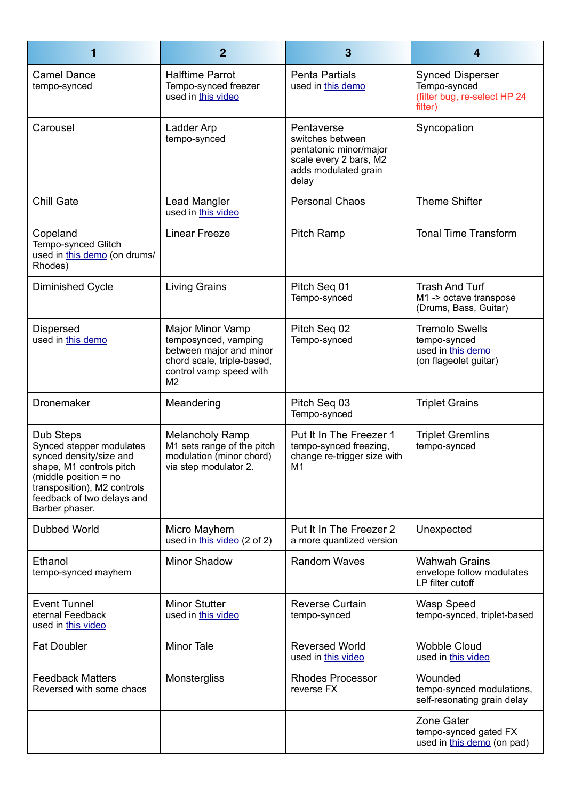| 1                                                                                                                                                                                                      | $\overline{2}$                                                                                                                                 | 3                                                                                                                   | $\overline{4}$                                                                      |
|--------------------------------------------------------------------------------------------------------------------------------------------------------------------------------------------------------|------------------------------------------------------------------------------------------------------------------------------------------------|---------------------------------------------------------------------------------------------------------------------|-------------------------------------------------------------------------------------|
| <b>Camel Dance</b><br>tempo-synced                                                                                                                                                                     | <b>Halftime Parrot</b><br>Tempo-synced freezer<br>used in this video                                                                           | <b>Penta Partials</b><br>used in this demo                                                                          | <b>Synced Disperser</b><br>Tempo-synced<br>(filter bug, re-select HP 24<br>filter)  |
| Carousel                                                                                                                                                                                               | Ladder Arp<br>tempo-synced                                                                                                                     | Pentaverse<br>switches between<br>pentatonic minor/major<br>scale every 2 bars, M2<br>adds modulated grain<br>delay | Syncopation                                                                         |
| <b>Chill Gate</b>                                                                                                                                                                                      | Lead Mangler<br>used in this video                                                                                                             | <b>Personal Chaos</b>                                                                                               | <b>Theme Shifter</b>                                                                |
| Copeland<br>Tempo-synced Glitch<br>used in this demo (on drums/<br>Rhodes)                                                                                                                             | <b>Linear Freeze</b>                                                                                                                           | <b>Pitch Ramp</b>                                                                                                   | <b>Tonal Time Transform</b>                                                         |
| <b>Diminished Cycle</b>                                                                                                                                                                                | Living Grains                                                                                                                                  | Pitch Seq 01<br>Tempo-synced                                                                                        | <b>Trash And Turf</b><br>M1 -> octave transpose<br>(Drums, Bass, Guitar)            |
| <b>Dispersed</b><br>used in this demo                                                                                                                                                                  | Major Minor Vamp<br>temposynced, vamping<br>between major and minor<br>chord scale, triple-based,<br>control vamp speed with<br>M <sub>2</sub> | Pitch Seq 02<br>Tempo-synced                                                                                        | <b>Tremolo Swells</b><br>tempo-synced<br>used in this demo<br>(on flageolet guitar) |
| Dronemaker                                                                                                                                                                                             | Meandering                                                                                                                                     | Pitch Seq 03<br>Tempo-synced                                                                                        | <b>Triplet Grains</b>                                                               |
| Dub Steps<br>Synced stepper modulates<br>synced density/size and<br>shape, M1 controls pitch<br>(middle position $=$ no<br>transposition), M2 controls<br>feedback of two delays and<br>Barber phaser. | <b>Melancholy Ramp</b><br>M1 sets range of the pitch<br>modulation (minor chord)<br>via step modulator 2.                                      | Put It In The Freezer 1<br>tempo-synced freezing,<br>change re-trigger size with<br>M1                              | <b>Triplet Gremlins</b><br>tempo-synced                                             |
| <b>Dubbed World</b>                                                                                                                                                                                    | Micro Mayhem<br>used in this video (2 of 2)                                                                                                    | Put It In The Freezer 2<br>a more quantized version                                                                 | Unexpected                                                                          |
| Ethanol<br>tempo-synced mayhem                                                                                                                                                                         | Minor Shadow                                                                                                                                   | <b>Random Waves</b>                                                                                                 | <b>Wahwah Grains</b><br>envelope follow modulates<br>LP filter cutoff               |
| <b>Event Tunnel</b><br>eternal Feedback<br>used in this video                                                                                                                                          | <b>Minor Stutter</b><br>used in this video                                                                                                     | <b>Reverse Curtain</b><br>tempo-synced                                                                              | Wasp Speed<br>tempo-synced, triplet-based                                           |
| <b>Fat Doubler</b>                                                                                                                                                                                     | <b>Minor Tale</b>                                                                                                                              | <b>Reversed World</b><br>used in this video                                                                         | <b>Wobble Cloud</b><br>used in this video                                           |
| <b>Feedback Matters</b><br>Reversed with some chaos                                                                                                                                                    | Monstergliss                                                                                                                                   | <b>Rhodes Processor</b><br>reverse FX                                                                               | Wounded<br>tempo-synced modulations,<br>self-resonating grain delay                 |
|                                                                                                                                                                                                        |                                                                                                                                                |                                                                                                                     | Zone Gater<br>tempo-synced gated FX<br>used in this demo (on pad)                   |